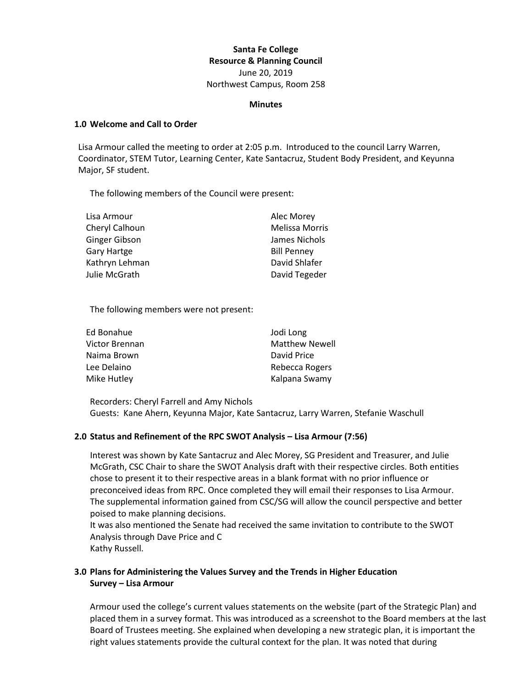# **Santa Fe College Resource & Planning Council** June 20, 2019 Northwest Campus, Room 258

#### **Minutes**

#### **1.0 Welcome and Call to Order**

Lisa Armour called the meeting to order at 2:05 p.m. Introduced to the council Larry Warren, Coordinator, STEM Tutor, Learning Center, Kate Santacruz, Student Body President, and Keyunna Major, SF student.

The following members of the Council were present:

| Lisa Armour        | Alec Morey            |
|--------------------|-----------------------|
| Cheryl Calhoun     | <b>Melissa Morris</b> |
| Ginger Gibson      | James Nichols         |
| <b>Gary Hartge</b> | <b>Bill Penney</b>    |
| Kathryn Lehman     | David Shlafer         |
| Julie McGrath      | David Tegeder         |

The following members were not present:

| Ed Bonahue     | Jodi Long             |
|----------------|-----------------------|
| Victor Brennan | <b>Matthew Newell</b> |
| Naima Brown    | David Price           |
| Lee Delaino    | Rebecca Rogers        |
| Mike Hutley    | Kalpana Swamy         |

Recorders: Cheryl Farrell and Amy Nichols Guests: Kane Ahern, Keyunna Major, Kate Santacruz, Larry Warren, Stefanie Waschull

## **2.0 Status and Refinement of the RPC SWOT Analysis – Lisa Armour (7:56)**

Interest was shown by Kate Santacruz and Alec Morey, SG President and Treasurer, and Julie McGrath, CSC Chair to share the SWOT Analysis draft with their respective circles. Both entities chose to present it to their respective areas in a blank format with no prior influence or preconceived ideas from RPC. Once completed they will email their responses to Lisa Armour. The supplemental information gained from CSC/SG will allow the council perspective and better poised to make planning decisions.

It was also mentioned the Senate had received the same invitation to contribute to the SWOT Analysis through Dave Price and C Kathy Russell.

## **3.0 Plans for Administering the Values Survey and the Trends in Higher Education Survey – Lisa Armour**

Armour used the college's current values statements on the website (part of the Strategic Plan) and placed them in a survey format. This was introduced as a screenshot to the Board members at the last Board of Trustees meeting. She explained when developing a new strategic plan, it is important the right values statements provide the cultural context for the plan. It was noted that during